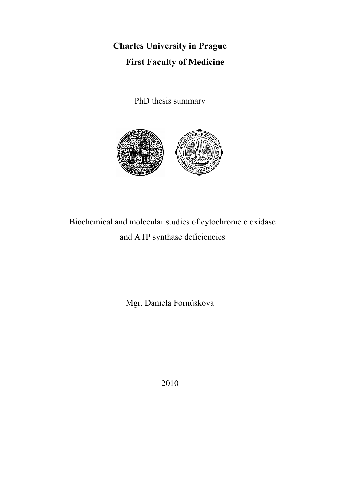**Charles University in Prague First Faculty of Medicine**

PhD thesis summary



# Biochemical and molecular studies of cytochrome c oxidase and ATP synthase deficiencies

Mgr. Daniela Fornůsková

2010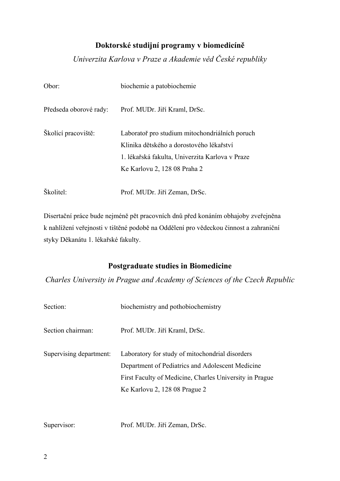## **Doktorské studijní programy v biomedicíně**

*Univerzita Karlova v Praze a Akademie věd České republiky* 

| Obor:                  | biochemie a patobiochemie                                                                                                                                                     |  |  |  |  |
|------------------------|-------------------------------------------------------------------------------------------------------------------------------------------------------------------------------|--|--|--|--|
| Předseda oborové rady: | Prof. MUDr. Jiří Kraml, DrSc.                                                                                                                                                 |  |  |  |  |
| Školící pracoviště:    | Laboratoř pro studium mitochondriálních poruch<br>Klinika dětského a dorostového lékařství<br>1. lékařská fakulta, Univerzita Karlova v Praze<br>Ke Karlovu 2, 128 08 Praha 2 |  |  |  |  |
| Školitel:              | Prof. MUDr. Jiří Zeman, DrSc.                                                                                                                                                 |  |  |  |  |

Disertační práce bude nejméně pět pracovních dnů před konáním obhajoby zveřejněna k nahlížení veřejnosti v tištěné podobě na Oddělení pro vědeckou činnost a zahraniční styky Děkanátu 1. lékařské fakulty.

## **Postgraduate studies in Biomedicine**

*Charles University in Prague and Academy of Sciences of the Czech Republic* 

| Prof. MUDr. Jiří Kraml, DrSc.                                                                                                                                                                   |
|-------------------------------------------------------------------------------------------------------------------------------------------------------------------------------------------------|
| Laboratory for study of mitochondrial disorders<br>Department of Pediatrics and Adolescent Medicine<br>First Faculty of Medicine, Charles University in Prague<br>Ke Karlovu 2, 128 08 Prague 2 |
|                                                                                                                                                                                                 |

Supervisor: Prof. MUDr. Jiří Zeman, DrSc.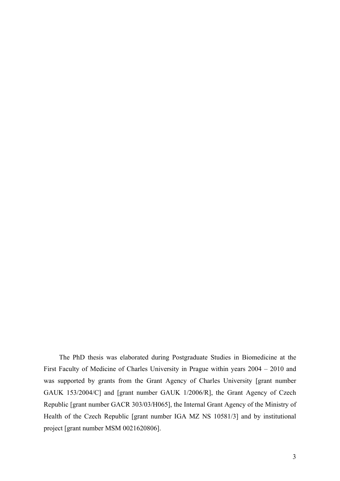The PhD thesis was elaborated during Postgraduate Studies in Biomedicine at the First Faculty of Medicine of Charles University in Prague within years 2004 – 2010 and was supported by grants from the Grant Agency of Charles University [grant number GAUK 153/2004/C] and [grant number GAUK 1/2006/R], the Grant Agency of Czech Republic [grant number GACR 303/03/H065], the Internal Grant Agency of the Ministry of Health of the Czech Republic [grant number IGA MZ NS 10581/3] and by institutional project [grant number MSM 0021620806].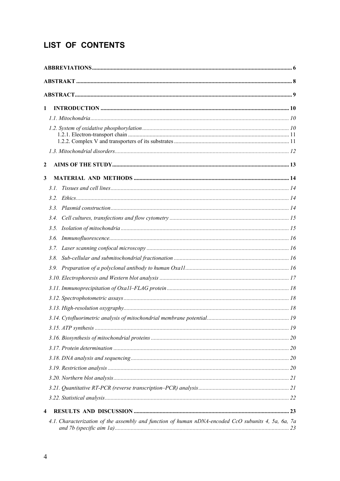## LIST OF CONTENTS

| 1                |                                                                                                     |  |
|------------------|-----------------------------------------------------------------------------------------------------|--|
|                  |                                                                                                     |  |
|                  |                                                                                                     |  |
|                  |                                                                                                     |  |
|                  |                                                                                                     |  |
|                  |                                                                                                     |  |
| $\boldsymbol{2}$ |                                                                                                     |  |
| 3                |                                                                                                     |  |
|                  | 3.1                                                                                                 |  |
|                  |                                                                                                     |  |
|                  |                                                                                                     |  |
|                  |                                                                                                     |  |
|                  |                                                                                                     |  |
|                  | 3.6.                                                                                                |  |
|                  |                                                                                                     |  |
|                  |                                                                                                     |  |
|                  |                                                                                                     |  |
|                  |                                                                                                     |  |
|                  |                                                                                                     |  |
|                  |                                                                                                     |  |
|                  |                                                                                                     |  |
|                  |                                                                                                     |  |
|                  |                                                                                                     |  |
|                  |                                                                                                     |  |
|                  |                                                                                                     |  |
|                  |                                                                                                     |  |
|                  |                                                                                                     |  |
|                  |                                                                                                     |  |
|                  |                                                                                                     |  |
|                  |                                                                                                     |  |
| 4                |                                                                                                     |  |
|                  | 4.1. Characterization of the assembly and function of human nDNA-encoded CcO subunits 4, 5a, 6a, 7a |  |
|                  |                                                                                                     |  |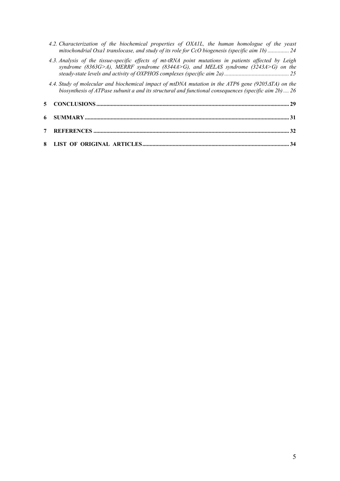*4.2. Characterization of the biochemical properties of OXA1L, the human homologue of the yeast mitochondrial Oxa1 translocase, and study of its role for CcO biogenesis (specific aim 1b) ............... 24*

|  |  |  | 4.3. Analysis of the tissue-specific effects of mt-tRNA point mutations in patients affected by Leigh |  |  |  |  |
|--|--|--|-------------------------------------------------------------------------------------------------------|--|--|--|--|
|  |  |  | syndrome (8363G>A), MERRF syndrome (8344A>G), and MELAS syndrome (3243A>G) on the                     |  |  |  |  |
|  |  |  |                                                                                                       |  |  |  |  |

*4.4. Study of molecular and biochemical impact of mtDNA mutation in the ATP6 gene (9205*Δ*TA) on the biosynthesis of ATPase subunit a and its structural and functional consequences (specific aim 2b) .... 26*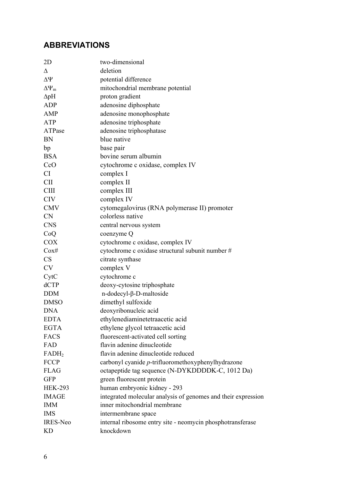## **ABBREVIATIONS**

| deletion<br>Δ<br>$\Delta \Psi$<br>potential difference<br>mitochondrial membrane potential<br>$\Delta\Psi_m$<br>proton gradient<br>$\Delta$ pH<br><b>ADP</b><br>adenosine diphosphate<br>adenosine monophosphate<br>AMP<br>adenosine triphosphate<br><b>ATP</b><br>ATPase<br>adenosine triphosphatase<br><b>BN</b><br>blue native<br>base pair<br>bp<br><b>BSA</b><br>bovine serum albumin<br>CcO<br>cytochrome c oxidase, complex IV<br><b>CI</b><br>complex I<br><b>CII</b><br>complex II<br><b>CIII</b><br>complex III<br>complex IV<br><b>CIV</b><br><b>CMV</b><br>cytomegalovirus (RNA polymerase II) promoter<br>colorless native<br><b>CN</b><br><b>CNS</b><br>central nervous system<br>CoQ<br>coenzyme Q<br><b>COX</b><br>cytochrome c oxidase, complex IV<br>$\cos\#$<br>cytochrome c oxidase structural subunit number #<br>CS<br>citrate synthase<br><b>CV</b><br>complex V<br>cytochrome c<br>CytC<br>dCTP<br>deoxy-cytosine triphosphate<br><b>DDM</b><br>$n\text{-}dodecyl-\beta-D\text{-}maltoside$<br>dimethyl sulfoxide<br><b>DMSO</b><br><b>DNA</b><br>deoxyribonucleic acid<br>ethylenediaminetetraacetic acid<br><b>EDTA</b><br><b>EGTA</b><br>ethylene glycol tetraacetic acid<br>fluorescent-activated cell sorting<br><b>FACS</b><br>flavin adenine dinucleotide<br>FAD<br>flavin adenine dinucleotide reduced<br>FADH <sub>2</sub><br><b>FCCP</b><br>carbonyl cyanide p-trifluoromethoxyphenylhydrazone<br>octapeptide tag sequence (N-DYKDDDDK-C, 1012 Da)<br><b>FLAG</b><br><b>GFP</b><br>green fluorescent protein |
|------------------------------------------------------------------------------------------------------------------------------------------------------------------------------------------------------------------------------------------------------------------------------------------------------------------------------------------------------------------------------------------------------------------------------------------------------------------------------------------------------------------------------------------------------------------------------------------------------------------------------------------------------------------------------------------------------------------------------------------------------------------------------------------------------------------------------------------------------------------------------------------------------------------------------------------------------------------------------------------------------------------------------------------------------------------------------------------------------------------------------------------------------------------------------------------------------------------------------------------------------------------------------------------------------------------------------------------------------------------------------------------------------------------------------------------------------------------------------------------------------------------------------------------------|
|                                                                                                                                                                                                                                                                                                                                                                                                                                                                                                                                                                                                                                                                                                                                                                                                                                                                                                                                                                                                                                                                                                                                                                                                                                                                                                                                                                                                                                                                                                                                                |
|                                                                                                                                                                                                                                                                                                                                                                                                                                                                                                                                                                                                                                                                                                                                                                                                                                                                                                                                                                                                                                                                                                                                                                                                                                                                                                                                                                                                                                                                                                                                                |
|                                                                                                                                                                                                                                                                                                                                                                                                                                                                                                                                                                                                                                                                                                                                                                                                                                                                                                                                                                                                                                                                                                                                                                                                                                                                                                                                                                                                                                                                                                                                                |
|                                                                                                                                                                                                                                                                                                                                                                                                                                                                                                                                                                                                                                                                                                                                                                                                                                                                                                                                                                                                                                                                                                                                                                                                                                                                                                                                                                                                                                                                                                                                                |
|                                                                                                                                                                                                                                                                                                                                                                                                                                                                                                                                                                                                                                                                                                                                                                                                                                                                                                                                                                                                                                                                                                                                                                                                                                                                                                                                                                                                                                                                                                                                                |
|                                                                                                                                                                                                                                                                                                                                                                                                                                                                                                                                                                                                                                                                                                                                                                                                                                                                                                                                                                                                                                                                                                                                                                                                                                                                                                                                                                                                                                                                                                                                                |
|                                                                                                                                                                                                                                                                                                                                                                                                                                                                                                                                                                                                                                                                                                                                                                                                                                                                                                                                                                                                                                                                                                                                                                                                                                                                                                                                                                                                                                                                                                                                                |
|                                                                                                                                                                                                                                                                                                                                                                                                                                                                                                                                                                                                                                                                                                                                                                                                                                                                                                                                                                                                                                                                                                                                                                                                                                                                                                                                                                                                                                                                                                                                                |
|                                                                                                                                                                                                                                                                                                                                                                                                                                                                                                                                                                                                                                                                                                                                                                                                                                                                                                                                                                                                                                                                                                                                                                                                                                                                                                                                                                                                                                                                                                                                                |
|                                                                                                                                                                                                                                                                                                                                                                                                                                                                                                                                                                                                                                                                                                                                                                                                                                                                                                                                                                                                                                                                                                                                                                                                                                                                                                                                                                                                                                                                                                                                                |
|                                                                                                                                                                                                                                                                                                                                                                                                                                                                                                                                                                                                                                                                                                                                                                                                                                                                                                                                                                                                                                                                                                                                                                                                                                                                                                                                                                                                                                                                                                                                                |
|                                                                                                                                                                                                                                                                                                                                                                                                                                                                                                                                                                                                                                                                                                                                                                                                                                                                                                                                                                                                                                                                                                                                                                                                                                                                                                                                                                                                                                                                                                                                                |
|                                                                                                                                                                                                                                                                                                                                                                                                                                                                                                                                                                                                                                                                                                                                                                                                                                                                                                                                                                                                                                                                                                                                                                                                                                                                                                                                                                                                                                                                                                                                                |
|                                                                                                                                                                                                                                                                                                                                                                                                                                                                                                                                                                                                                                                                                                                                                                                                                                                                                                                                                                                                                                                                                                                                                                                                                                                                                                                                                                                                                                                                                                                                                |
|                                                                                                                                                                                                                                                                                                                                                                                                                                                                                                                                                                                                                                                                                                                                                                                                                                                                                                                                                                                                                                                                                                                                                                                                                                                                                                                                                                                                                                                                                                                                                |
|                                                                                                                                                                                                                                                                                                                                                                                                                                                                                                                                                                                                                                                                                                                                                                                                                                                                                                                                                                                                                                                                                                                                                                                                                                                                                                                                                                                                                                                                                                                                                |
|                                                                                                                                                                                                                                                                                                                                                                                                                                                                                                                                                                                                                                                                                                                                                                                                                                                                                                                                                                                                                                                                                                                                                                                                                                                                                                                                                                                                                                                                                                                                                |
|                                                                                                                                                                                                                                                                                                                                                                                                                                                                                                                                                                                                                                                                                                                                                                                                                                                                                                                                                                                                                                                                                                                                                                                                                                                                                                                                                                                                                                                                                                                                                |
|                                                                                                                                                                                                                                                                                                                                                                                                                                                                                                                                                                                                                                                                                                                                                                                                                                                                                                                                                                                                                                                                                                                                                                                                                                                                                                                                                                                                                                                                                                                                                |
|                                                                                                                                                                                                                                                                                                                                                                                                                                                                                                                                                                                                                                                                                                                                                                                                                                                                                                                                                                                                                                                                                                                                                                                                                                                                                                                                                                                                                                                                                                                                                |
|                                                                                                                                                                                                                                                                                                                                                                                                                                                                                                                                                                                                                                                                                                                                                                                                                                                                                                                                                                                                                                                                                                                                                                                                                                                                                                                                                                                                                                                                                                                                                |
|                                                                                                                                                                                                                                                                                                                                                                                                                                                                                                                                                                                                                                                                                                                                                                                                                                                                                                                                                                                                                                                                                                                                                                                                                                                                                                                                                                                                                                                                                                                                                |
|                                                                                                                                                                                                                                                                                                                                                                                                                                                                                                                                                                                                                                                                                                                                                                                                                                                                                                                                                                                                                                                                                                                                                                                                                                                                                                                                                                                                                                                                                                                                                |
|                                                                                                                                                                                                                                                                                                                                                                                                                                                                                                                                                                                                                                                                                                                                                                                                                                                                                                                                                                                                                                                                                                                                                                                                                                                                                                                                                                                                                                                                                                                                                |
|                                                                                                                                                                                                                                                                                                                                                                                                                                                                                                                                                                                                                                                                                                                                                                                                                                                                                                                                                                                                                                                                                                                                                                                                                                                                                                                                                                                                                                                                                                                                                |
|                                                                                                                                                                                                                                                                                                                                                                                                                                                                                                                                                                                                                                                                                                                                                                                                                                                                                                                                                                                                                                                                                                                                                                                                                                                                                                                                                                                                                                                                                                                                                |
|                                                                                                                                                                                                                                                                                                                                                                                                                                                                                                                                                                                                                                                                                                                                                                                                                                                                                                                                                                                                                                                                                                                                                                                                                                                                                                                                                                                                                                                                                                                                                |
|                                                                                                                                                                                                                                                                                                                                                                                                                                                                                                                                                                                                                                                                                                                                                                                                                                                                                                                                                                                                                                                                                                                                                                                                                                                                                                                                                                                                                                                                                                                                                |
|                                                                                                                                                                                                                                                                                                                                                                                                                                                                                                                                                                                                                                                                                                                                                                                                                                                                                                                                                                                                                                                                                                                                                                                                                                                                                                                                                                                                                                                                                                                                                |
|                                                                                                                                                                                                                                                                                                                                                                                                                                                                                                                                                                                                                                                                                                                                                                                                                                                                                                                                                                                                                                                                                                                                                                                                                                                                                                                                                                                                                                                                                                                                                |
|                                                                                                                                                                                                                                                                                                                                                                                                                                                                                                                                                                                                                                                                                                                                                                                                                                                                                                                                                                                                                                                                                                                                                                                                                                                                                                                                                                                                                                                                                                                                                |
|                                                                                                                                                                                                                                                                                                                                                                                                                                                                                                                                                                                                                                                                                                                                                                                                                                                                                                                                                                                                                                                                                                                                                                                                                                                                                                                                                                                                                                                                                                                                                |
|                                                                                                                                                                                                                                                                                                                                                                                                                                                                                                                                                                                                                                                                                                                                                                                                                                                                                                                                                                                                                                                                                                                                                                                                                                                                                                                                                                                                                                                                                                                                                |
|                                                                                                                                                                                                                                                                                                                                                                                                                                                                                                                                                                                                                                                                                                                                                                                                                                                                                                                                                                                                                                                                                                                                                                                                                                                                                                                                                                                                                                                                                                                                                |
|                                                                                                                                                                                                                                                                                                                                                                                                                                                                                                                                                                                                                                                                                                                                                                                                                                                                                                                                                                                                                                                                                                                                                                                                                                                                                                                                                                                                                                                                                                                                                |
|                                                                                                                                                                                                                                                                                                                                                                                                                                                                                                                                                                                                                                                                                                                                                                                                                                                                                                                                                                                                                                                                                                                                                                                                                                                                                                                                                                                                                                                                                                                                                |
|                                                                                                                                                                                                                                                                                                                                                                                                                                                                                                                                                                                                                                                                                                                                                                                                                                                                                                                                                                                                                                                                                                                                                                                                                                                                                                                                                                                                                                                                                                                                                |
| human embryonic kidney - 293<br><b>HEK-293</b>                                                                                                                                                                                                                                                                                                                                                                                                                                                                                                                                                                                                                                                                                                                                                                                                                                                                                                                                                                                                                                                                                                                                                                                                                                                                                                                                                                                                                                                                                                 |
| integrated molecular analysis of genomes and their expression<br><b>IMAGE</b>                                                                                                                                                                                                                                                                                                                                                                                                                                                                                                                                                                                                                                                                                                                                                                                                                                                                                                                                                                                                                                                                                                                                                                                                                                                                                                                                                                                                                                                                  |
| inner mitochondrial membrane<br><b>IMM</b>                                                                                                                                                                                                                                                                                                                                                                                                                                                                                                                                                                                                                                                                                                                                                                                                                                                                                                                                                                                                                                                                                                                                                                                                                                                                                                                                                                                                                                                                                                     |
|                                                                                                                                                                                                                                                                                                                                                                                                                                                                                                                                                                                                                                                                                                                                                                                                                                                                                                                                                                                                                                                                                                                                                                                                                                                                                                                                                                                                                                                                                                                                                |
| <b>IMS</b><br>intermembrane space                                                                                                                                                                                                                                                                                                                                                                                                                                                                                                                                                                                                                                                                                                                                                                                                                                                                                                                                                                                                                                                                                                                                                                                                                                                                                                                                                                                                                                                                                                              |
| internal ribosome entry site - neomycin phosphotransferase<br><b>IRES-Neo</b>                                                                                                                                                                                                                                                                                                                                                                                                                                                                                                                                                                                                                                                                                                                                                                                                                                                                                                                                                                                                                                                                                                                                                                                                                                                                                                                                                                                                                                                                  |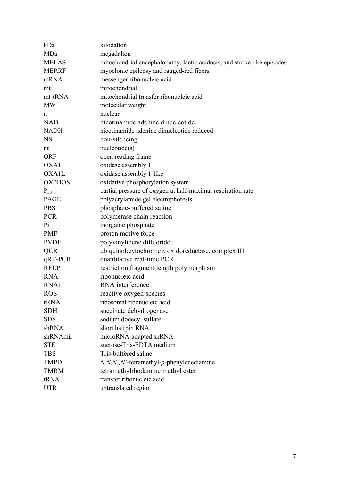| kDa           | kilodalton                                                              |
|---------------|-------------------------------------------------------------------------|
| MDa           | megadalton                                                              |
| <b>MELAS</b>  | mitochondrial encephalopathy, lactic acidosis, and stroke like episodes |
| <b>MERRF</b>  | myoclonic epilepsy and ragged-red fibers                                |
| mRNA          | messenger ribonucleic acid                                              |
| mt            | mitochondrial                                                           |
| mt-tRNA       | mitochondrial transfer ribonucleic acid                                 |
| <b>MW</b>     | molecular weight                                                        |
| n             | nuclear                                                                 |
| $NAD^+$       | nicotinamide adenine dinucleotide                                       |
| <b>NADH</b>   | nicotinamide adenine dinucleotide reduced                               |
| <b>NS</b>     | non-silencing                                                           |
| nt            | nucleotide(s)                                                           |
| <b>ORF</b>    | open reading frame                                                      |
| OXA1          | oxidase assembly 1                                                      |
| <b>OXA1L</b>  | oxidase assembly 1-like                                                 |
| <b>OXPHOS</b> | oxidative phosphorylation system                                        |
| $P_{50}$      | partial pressure of oxygen at half-maximal respiration rate             |
| PAGE          | polyacrylamide gel electrophoresis                                      |
| <b>PBS</b>    | phosphate-buffered saline                                               |
| <b>PCR</b>    | polymerase chain reaction                                               |
| Pi            | inorganic phosphate                                                     |
| <b>PMF</b>    | proton motive force                                                     |
| <b>PVDF</b>   | polyvinylidene difluoride                                               |
| <b>QCR</b>    | ubiquinol: cytochrome c oxidoreductase, complex III                     |
| $qRT-PCR$     | quantitative real-time PCR                                              |
| <b>RFLP</b>   | restriction fragment length polymorphism                                |
| <b>RNA</b>    | ribonucleic acid                                                        |
| <b>RNAi</b>   | RNA interference                                                        |
| <b>ROS</b>    | reactive oxygen species                                                 |
| rRNA          | ribosomal ribonucleic acid                                              |
| <b>SDH</b>    | succinate dehydrogenase                                                 |
| <b>SDS</b>    | sodium dodecyl sulfate                                                  |
| shRNA         | short hairpin RNA                                                       |
| shRNAmir      | microRNA-adapted shRNA                                                  |
| <b>STE</b>    | sucrose-Tris-EDTA medium                                                |
| <b>TBS</b>    | Tris-buffered saline                                                    |
| <b>TMPD</b>   | $N, N, N', N'$ -tetramethyl-p-phenylenediamine                          |
| <b>TMRM</b>   | tetramethylrhodamine methyl ester                                       |
| tRNA          | transfer ribonucleic acid                                               |
| <b>UTR</b>    | untranslated region                                                     |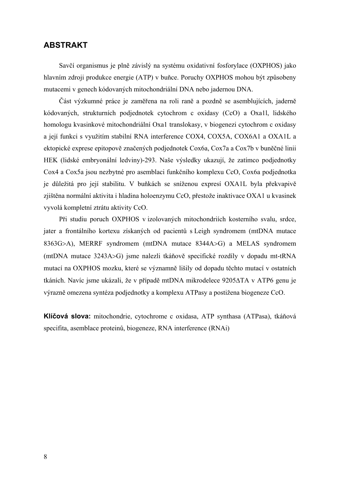## **ABSTRAKT**

Savčí organismus je plně závislý na systému oxidativní fosforylace (OXPHOS) jako hlavním zdroji produkce energie (ATP) v buňce. Poruchy OXPHOS mohou být způsobeny mutacemi v genech kódovaných mitochondriální DNA nebo jadernou DNA.

Část výzkumné práce je zaměřena na roli raně a pozdně se asemblujících, jaderně kódovaných, strukturních podjednotek cytochrom c oxidasy (CcO) a Oxa1l, lidského homologu kvasinkové mitochondriální Oxa1 translokasy, v biogenezi cytochrom c oxidasy a její funkci s využitím stabilní RNA interference COX4, COX5A, COX6A1 a OXA1L a ektopické exprese epitopově značených podjednotek Cox6a, Cox7a a Cox7b v buněčné linii HEK (lidské embryonální ledviny)-293. Naše výsledky ukazují, že zatímco podjednotky Cox4 a Cox5a jsou nezbytné pro asemblaci funkčního komplexu CcO, Cox6a podjednotka je důležitá pro její stabilitu. V buňkách se sníženou expresí OXA1L byla překvapivě zjištěna normální aktivita i hladina holoenzymu CcO, přestože inaktivace OXA1 u kvasinek vyvolá kompletní ztrátu aktivity CcO.

Při studiu poruch OXPHOS v izolovaných mitochondriích kosterního svalu, srdce, jater a frontálního kortexu získaných od pacientů s Leigh syndromem (mtDNA mutace 8363G>A), MERRF syndromem (mtDNA mutace 8344A>G) a MELAS syndromem (mtDNA mutace 3243A>G) jsme nalezli tkáňově specifické rozdíly v dopadu mt-tRNA mutací na OXPHOS mozku, které se významně lišily od dopadu těchto mutací v ostatních tkáních. Navíc jsme ukázali, že v případě mtDNA mikrodelece 9205ΔTA v ATP6 genu je výrazně omezena syntéza podjednotky a komplexu ATPasy a postižena biogeneze CcO.

**Klíčová slova:** mitochondrie, cytochrome c oxidasa, ATP synthasa (ATPasa), tkáňová specifita, asemblace proteinů, biogeneze, RNA interference (RNAi)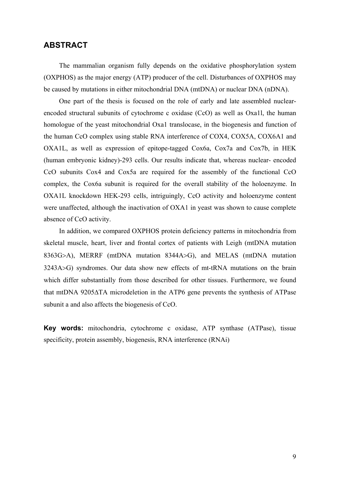## **ABSTRACT**

The mammalian organism fully depends on the oxidative phosphorylation system (OXPHOS) as the major energy (ATP) producer of the cell. Disturbances of OXPHOS may be caused by mutations in either mitochondrial DNA (mtDNA) or nuclear DNA (nDNA).

One part of the thesis is focused on the role of early and late assembled nuclearencoded structural subunits of cytochrome c oxidase (CcO) as well as Oxa1l, the human homologue of the yeast mitochondrial Oxa1 translocase, in the biogenesis and function of the human CcO complex using stable RNA interference of COX4, COX5A, COX6A1 and OXA1L, as well as expression of epitope-tagged Cox6a, Cox7a and Cox7b, in HEK (human embryonic kidney)-293 cells. Our results indicate that, whereas nuclear- encoded CcO subunits Cox4 and Cox5a are required for the assembly of the functional CcO complex, the Cox6a subunit is required for the overall stability of the holoenzyme. In OXA1L knockdown HEK-293 cells, intriguingly, CcO activity and holoenzyme content were unaffected, although the inactivation of OXA1 in yeast was shown to cause complete absence of CcO activity.

In addition, we compared OXPHOS protein deficiency patterns in mitochondria from skeletal muscle, heart, liver and frontal cortex of patients with Leigh (mtDNA mutation 8363G>A), MERRF (mtDNA mutation 8344A>G), and MELAS (mtDNA mutation 3243A>G) syndromes. Our data show new effects of mt-tRNA mutations on the brain which differ substantially from those described for other tissues. Furthermore, we found that mtDNA 9205ΔTA microdeletion in the ATP6 gene prevents the synthesis of ATPase subunit a and also affects the biogenesis of CcO.

**Key words:** mitochondria, cytochrome c oxidase, ATP synthase (ATPase), tissue specificity, protein assembly, biogenesis, RNA interference (RNAi)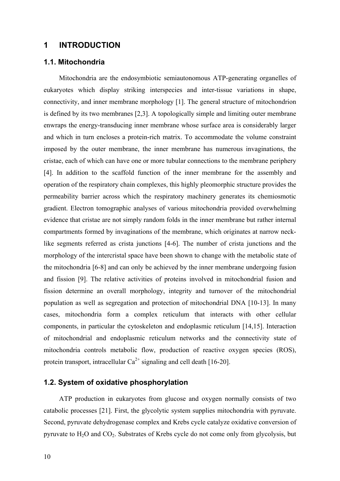## **1 INTRODUCTION**

#### **1.1. Mitochondria**

Mitochondria are the endosymbiotic semiautonomous ATP-generating organelles of eukaryotes which display striking interspecies and inter-tissue variations in shape, connectivity, and inner membrane morphology [1]. The general structure of mitochondrion is defined by its two membranes [2,3]. A topologically simple and limiting outer membrane enwraps the energy-transducing inner membrane whose surface area is considerably larger and which in turn encloses a protein-rich matrix. To accommodate the volume constraint imposed by the outer membrane, the inner membrane has numerous invaginations, the cristae, each of which can have one or more tubular connections to the membrane periphery [4]. In addition to the scaffold function of the inner membrane for the assembly and operation of the respiratory chain complexes, this highly pleomorphic structure provides the permeability barrier across which the respiratory machinery generates its chemiosmotic gradient. Electron tomographic analyses of various mitochondria provided overwhelming evidence that cristae are not simply random folds in the inner membrane but rather internal compartments formed by invaginations of the membrane, which originates at narrow necklike segments referred as crista junctions [4-6]. The number of crista junctions and the morphology of the intercristal space have been shown to change with the metabolic state of the mitochondria [6-8] and can only be achieved by the inner membrane undergoing fusion and fission [9]. The relative activities of proteins involved in mitochondrial fusion and fission determine an overall morphology, integrity and turnover of the mitochondrial population as well as segregation and protection of mitochondrial DNA [10-13]. In many cases, mitochondria form a complex reticulum that interacts with other cellular components, in particular the cytoskeleton and endoplasmic reticulum [14,15]. Interaction of mitochondrial and endoplasmic reticulum networks and the connectivity state of mitochondria controls metabolic flow, production of reactive oxygen species (ROS), protein transport, intracellular  $Ca^{2+}$  signaling and cell death [16-20].

#### **1.2. System of oxidative phosphorylation**

ATP production in eukaryotes from glucose and oxygen normally consists of two catabolic processes [21]. First, the glycolytic system supplies mitochondria with pyruvate. Second, pyruvate dehydrogenase complex and Krebs cycle catalyze oxidative conversion of pyruvate to  $H_2O$  and  $CO_2$ . Substrates of Krebs cycle do not come only from glycolysis, but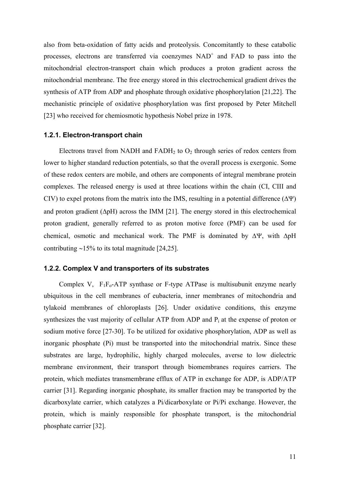also from beta-oxidation of fatty acids and proteolysis. Concomitantly to these catabolic processes, electrons are transferred via coenzymes  $NAD<sup>+</sup>$  and  $FAD$  to pass into the mitochondrial electron-transport chain which produces a proton gradient across the mitochondrial membrane. The free energy stored in this electrochemical gradient drives the synthesis of ATP from ADP and phosphate through oxidative phosphorylation [21,22]. The mechanistic principle of oxidative phosphorylation was first proposed by Peter Mitchell [23] who received for chemiosmotic hypothesis Nobel prize in 1978.

#### **1.2.1. Electron-transport chain**

Electrons travel from NADH and  $FADH<sub>2</sub>$  to  $O<sub>2</sub>$  through series of redox centers from lower to higher standard reduction potentials, so that the overall process is exergonic. Some of these redox centers are mobile, and others are components of integral membrane protein complexes. The released energy is used at three locations within the chain (CI, CIII and CIV) to expel protons from the matrix into the IMS, resulting in a potential difference  $(\Delta \Psi)$ and proton gradient  $(\Delta pH)$  across the IMM [21]. The energy stored in this electrochemical proton gradient, generally referred to as proton motive force (PMF) can be used for chemical, osmotic and mechanical work. The PMF is dominated by ΔΨ, with ΔpH contributing ∼15% to its total magnitude [24,25].

#### **1.2.2. Complex V and transporters of its substrates**

Complex V,  $F_1F_0$ -ATP synthase or F-type ATPase is multisubunit enzyme nearly ubiquitous in the cell membranes of eubacteria, inner membranes of mitochondria and tylakoid membranes of chloroplasts [26]. Under oxidative conditions, this enzyme synthesizes the vast majority of cellular ATP from ADP and  $P_i$  at the expense of proton or sodium motive force [27-30]. To be utilized for oxidative phosphorylation, ADP as well as inorganic phosphate (Pi) must be transported into the mitochondrial matrix. Since these substrates are large, hydrophilic, highly charged molecules, averse to low dielectric membrane environment, their transport through biomembranes requires carriers. The protein, which mediates transmembrane efflux of ATP in exchange for ADP, is ADP/ATP carrier [31]. Regarding inorganic phosphate, its smaller fraction may be transported by the dicarboxylate carrier, which catalyzes a Pi/dicarboxylate or Pi/Pi exchange. However, the protein, which is mainly responsible for phosphate transport, is the mitochondrial phosphate carrier [32].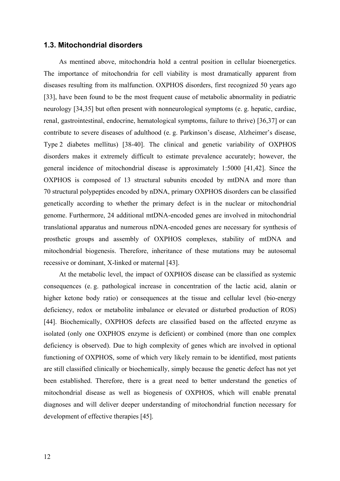#### **1.3. Mitochondrial disorders**

As mentined above, mitochondria hold a central position in cellular bioenergetics. The importance of mitochondria for cell viability is most dramatically apparent from diseases resulting from its malfunction. OXPHOS disorders, first recognized 50 years ago [33], have been found to be the most frequent cause of metabolic abnormality in pediatric neurology [34,35] but often present with nonneurological symptoms (e. g. hepatic, cardiac, renal, gastrointestinal, endocrine, hematological symptoms, failure to thrive) [36,37] or can contribute to severe diseases of adulthood (e. g. Parkinson's disease, Alzheimer's disease, Type 2 diabetes mellitus) [38-40]. The clinical and genetic variability of OXPHOS disorders makes it extremely difficult to estimate prevalence accurately; however, the general incidence of mitochondrial disease is approximately 1:5000 [41,42]. Since the OXPHOS is composed of 13 structural subunits encoded by mtDNA and more than 70 structural polypeptides encoded by nDNA, primary OXPHOS disorders can be classified genetically according to whether the primary defect is in the nuclear or mitochondrial genome. Furthermore, 24 additional mtDNA-encoded genes are involved in mitochondrial translational apparatus and numerous nDNA-encoded genes are necessary for synthesis of prosthetic groups and assembly of OXPHOS complexes, stability of mtDNA and mitochondrial biogenesis. Therefore, inheritance of these mutations may be autosomal recessive or dominant, X-linked or maternal [43].

At the metabolic level, the impact of OXPHOS disease can be classified as systemic consequences (e. g. pathological increase in concentration of the lactic acid, alanin or higher ketone body ratio) or consequences at the tissue and cellular level (bio-energy deficiency, redox or metabolite imbalance or elevated or disturbed production of ROS) [44]. Biochemically, OXPHOS defects are classified based on the affected enzyme as isolated (only one OXPHOS enzyme is deficient) or combined (more than one complex deficiency is observed). Due to high complexity of genes which are involved in optional functioning of OXPHOS, some of which very likely remain to be identified, most patients are still classified clinically or biochemically, simply because the genetic defect has not yet been established. Therefore, there is a great need to better understand the genetics of mitochondrial disease as well as biogenesis of OXPHOS, which will enable prenatal diagnoses and will deliver deeper understanding of mitochondrial function necessary for development of effective therapies [45].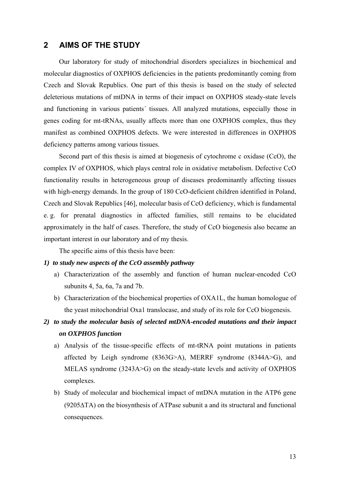### **2 AIMS OF THE STUDY**

Our laboratory for study of mitochondrial disorders specializes in biochemical and molecular diagnostics of OXPHOS deficiencies in the patients predominantly coming from Czech and Slovak Republics. One part of this thesis is based on the study of selected deleterious mutations of mtDNA in terms of their impact on OXPHOS steady-state levels and functioning in various patients´ tissues. All analyzed mutations, especially those in genes coding for mt-tRNAs, usually affects more than one OXPHOS complex, thus they manifest as combined OXPHOS defects. We were interested in differences in OXPHOS deficiency patterns among various tissues.

Second part of this thesis is aimed at biogenesis of cytochrome c oxidase (CcO), the complex IV of OXPHOS, which plays central role in oxidative metabolism. Defective CcO functionality results in heterogeneous group of diseases predominantly affecting tissues with high-energy demands. In the group of 180 CcO-deficient children identified in Poland, Czech and Slovak Republics [46], molecular basis of CcO deficiency, which is fundamental e. g. for prenatal diagnostics in affected families, still remains to be elucidated approximately in the half of cases. Therefore, the study of CcO biogenesis also became an important interest in our laboratory and of my thesis.

The specific aims of this thesis have been:

#### *1) to study new aspects of the CcO assembly pathway*

- a) Characterization of the assembly and function of human nuclear-encoded CcO subunits 4, 5a, 6a, 7a and 7b.
- b) Characterization of the biochemical properties of OXA1L, the human homologue of the yeast mitochondrial Oxa1 translocase, and study of its role for CcO biogenesis.

## *2) to study the molecular basis of selected mtDNA-encoded mutations and their impact on OXPHOS function*

- a) Analysis of the tissue-specific effects of mt-tRNA point mutations in patients affected by Leigh syndrome (8363G>A), MERRF syndrome (8344A>G), and MELAS syndrome (3243A>G) on the steady-state levels and activity of OXPHOS complexes.
- b) Study of molecular and biochemical impact of mtDNA mutation in the ATP6 gene (9205ΔTA) on the biosynthesis of ATPase subunit a and its structural and functional consequences.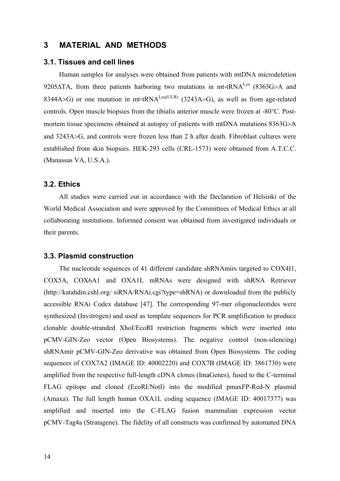## **3 MATERIAL AND METHODS**

#### **3.1. Tissues and cell lines**

Human samples for analyses were obtained from patients with mtDNA microdeletion 9205 $\Delta$ TA, from three patients harboring two mutations in mt-tRNA<sup>Lys</sup> (8363G>A and 8344A>G) or one mutation in mt-tRNA<sup>Leu(UUR)</sup> (3243A>G), as well as from age-related controls. Open muscle biopsies from the tibialis anterior muscle were frozen at -80°C. Postmortem tissue specimens obtained at autopsy of patients with mtDNA mutations 8363G>A and 3243A>G, and controls were frozen less than 2 h after death. Fibroblast cultures were established from skin biopsies. HEK-293 cells (CRL-1573) were obtained from A.T.C.C. (Manassas VA, U.S.A.).

#### **3.2. Ethics**

All studies were carried out in accordance with the Declaration of Helsinki of the World Medical Association and were approved by the Committees of Medical Ethics at all collaborating institutions. Informed consent was obtained from investigated individuals or their parents.

#### **3.3. Plasmid construction**

The nucleotide sequences of 41 different candidate shRNAmirs targeted to COX4I1, COX5A, COX6A1 and OXA1L mRNAs were designed with shRNA Retriever (http://katahdin.cshl.org/ siRNA/RNAi.cgi?type=shRNA) or downloaded from the publicly accessible RNAi Codex database [47]. The corresponding 97-mer oligonucleotides were synthesized (Invitrogen) and used as template sequences for PCR amplification to produce clonable double-stranded XhoI/EcoRI restriction fragments which were inserted into pCMV-GIN-Zeo vector (Open Biosystems). The negative control (non-silencing) shRNAmir pCMV-GIN-Zeo derivative was obtained from Open Biosystems. The coding sequences of COX7A2 (IMAGE ID: 40002220) and COX7B (IMAGE ID: 3861730) were amplified from the respective full-length cDNA clones (ImaGenes), fused to the C-terminal FLAG epitope and cloned (EcoRI/NotI) into the modified pmaxFP-Red-N plasmid (Amaxa). The full length human OXA1L coding sequence (IMAGE ID: 40017377) was amplified and inserted into the C-FLAG fusion mammalian expression vector pCMV-Tag4a (Stratagene). The fidelity of all constructs was confirmed by automated DNA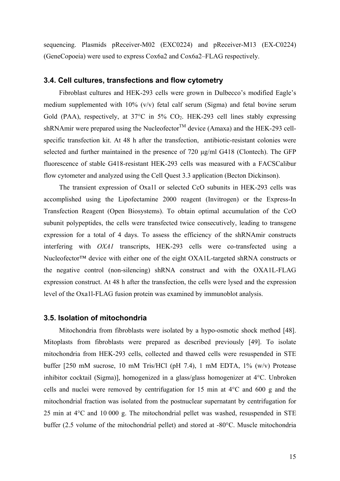sequencing. Plasmids pReceiver-M02 (EXC0224) and pReceiver-M13 (EX-C0224) (GeneCopoeia) were used to express Cox6a2 and Cox6a2–FLAG respectively.

#### **3.4. Cell cultures, transfections and flow cytometry**

Fibroblast cultures and HEK-293 cells were grown in Dulbecco's modified Eagle's medium supplemented with 10% (v/v) fetal calf serum (Sigma) and fetal bovine serum Gold (PAA), respectively, at  $37^{\circ}$ C in  $5\%$  CO<sub>2</sub>. HEK-293 cell lines stably expressing shRNAmir were prepared using the Nucleofector<sup>TM</sup> device (Amaxa) and the HEK-293 cellspecific transfection kit. At 48 h after the transfection, antibiotic-resistant colonies were selected and further maintained in the presence of 720 μg/ml G418 (Clontech). The GFP fluorescence of stable G418-resistant HEK-293 cells was measured with a FACSCalibur flow cytometer and analyzed using the Cell Quest 3.3 application (Becton Dickinson).

The transient expression of Oxa1l or selected CcO subunits in HEK-293 cells was accomplished using the Lipofectamine 2000 reagent (Invitrogen) or the Express-In Transfection Reagent (Open Biosystems). To obtain optimal accumulation of the CcO subunit polypeptides, the cells were transfected twice consecutively, leading to transgene expression for a total of 4 days. To assess the efficiency of the shRNAmir constructs interfering with *OXA1* transcripts, HEK-293 cells were co-transfected using a Nucleofector<sup>™</sup> device with either one of the eight OXA1L-targeted shRNA constructs or the negative control (non-silencing) shRNA construct and with the OXA1L-FLAG expression construct. At 48 h after the transfection, the cells were lysed and the expression level of the Oxa1l-FLAG fusion protein was examined by immunoblot analysis.

#### **3.5. Isolation of mitochondria**

Mitochondria from fibroblasts were isolated by a hypo-osmotic shock method [48]. Mitoplasts from fibroblasts were prepared as described previously [49]. To isolate mitochondria from HEK-293 cells, collected and thawed cells were resuspended in STE buffer [250 mM sucrose, 10 mM Tris/HCl (pH 7.4), 1 mM EDTA, 1% (w/v) Protease inhibitor cocktail (Sigma)], homogenized in a glass/glass homogenizer at 4°C. Unbroken cells and nuclei were removed by centrifugation for 15 min at 4°C and 600 g and the mitochondrial fraction was isolated from the postnuclear supernatant by centrifugation for 25 min at 4°C and 10 000 g. The mitochondrial pellet was washed, resuspended in STE buffer (2.5 volume of the mitochondrial pellet) and stored at -80°C. Muscle mitochondria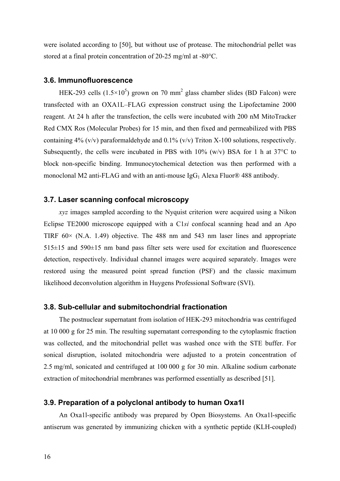were isolated according to [50], but without use of protease. The mitochondrial pellet was stored at a final protein concentration of 20-25 mg/ml at -80°C.

#### **3.6. Immunofluorescence**

HEK-293 cells  $(1.5 \times 10^5)$  grown on 70 mm<sup>2</sup> glass chamber slides (BD Falcon) were transfected with an OXA1L–FLAG expression construct using the Lipofectamine 2000 reagent. At 24 h after the transfection, the cells were incubated with 200 nM MitoTracker Red CMX Ros (Molecular Probes) for 15 min, and then fixed and permeabilized with PBS containing 4% (v/v) paraformaldehyde and 0.1% (v/v) Triton X-100 solutions, respectively. Subsequently, the cells were incubated in PBS with  $10\%$  (w/v) BSA for 1 h at 37 $\degree$ C to block non-specific binding. Immunocytochemical detection was then performed with a monoclonal M2 anti-FLAG and with an anti-mouse  $\text{IgG}_1$  Alexa Fluor® 488 antibody.

#### **3.7. Laser scanning confocal microscopy**

*xyz* images sampled according to the Nyquist criterion were acquired using a Nikon Eclipse TE2000 microscope equipped with a C1*si* confocal scanning head and an Apo TIRF  $60 \times$  (N.A. 1.49) objective. The 488 nm and 543 nm laser lines and appropriate 515±15 and 590±15 nm band pass filter sets were used for excitation and fluorescence detection, respectively. Individual channel images were acquired separately. Images were restored using the measured point spread function (PSF) and the classic maximum likelihood deconvolution algorithm in Huygens Professional Software (SVI).

#### **3.8. Sub-cellular and submitochondrial fractionation**

The postnuclear supernatant from isolation of HEK-293 mitochondria was centrifuged at 10 000 g for 25 min. The resulting supernatant corresponding to the cytoplasmic fraction was collected, and the mitochondrial pellet was washed once with the STE buffer. For sonical disruption, isolated mitochondria were adjusted to a protein concentration of 2.5 mg/ml, sonicated and centrifuged at 100 000 g for 30 min. Alkaline sodium carbonate extraction of mitochondrial membranes was performed essentially as described [51].

#### **3.9. Preparation of a polyclonal antibody to human Oxa1l**

An Oxa1l-specific antibody was prepared by Open Biosystems. An Oxa1l-specific antiserum was generated by immunizing chicken with a synthetic peptide (KLH-coupled)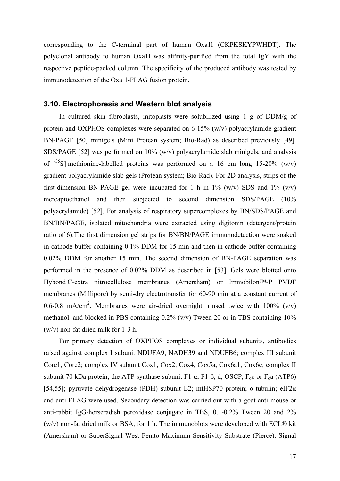corresponding to the C-terminal part of human Oxa1l (CKPKSKYPWHDT). The polyclonal antibody to human Oxa1l was affinity-purified from the total IgY with the respective peptide-packed column. The specificity of the produced antibody was tested by immunodetection of the Oxa1l-FLAG fusion protein.

#### **3.10. Electrophoresis and Western blot analysis**

In cultured skin fibroblasts, mitoplasts were solubilized using 1 g of  $DDM/g$  of protein and OXPHOS complexes were separated on 6-15% (w/v) polyacrylamide gradient BN-PAGE [50] minigels (Mini Protean system; Bio-Rad) as described previously [49]. SDS/PAGE [52] was performed on 10% (w/v) polyacrylamide slab minigels, and analysis of  $\lceil 35S \rceil$  methionine-labelled proteins was performed on a 16 cm long 15-20% (w/v) gradient polyacrylamide slab gels (Protean system; Bio-Rad). For 2D analysis, strips of the first-dimension BN-PAGE gel were incubated for 1 h in  $1\%$  (w/v) SDS and  $1\%$  (v/v) mercaptoethanol and then subjected to second dimension SDS/PAGE (10% polyacrylamide) [52]. For analysis of respiratory supercomplexes by BN/SDS/PAGE and BN/BN/PAGE, isolated mitochondria were extracted using digitonin (detergent/protein ratio of 6).The first dimension gel strips for BN/BN/PAGE immunodetection were soaked in cathode buffer containing 0.1% DDM for 15 min and then in cathode buffer containing 0.02% DDM for another 15 min. The second dimension of BN-PAGE separation was performed in the presence of 0.02% DDM as described in [53]. Gels were blotted onto Hybond C-extra nitrocellulose membranes (Amersham) or Immobilon™-P PVDF membranes (Millipore) by semi-dry electrotransfer for 60-90 min at a constant current of 0.6-0.8 mA/cm<sup>2</sup>. Membranes were air-dried overnight, rinsed twice with  $100\%$  (v/v) methanol, and blocked in PBS containing 0.2% (v/v) Tween 20 or in TBS containing 10% (w/v) non-fat dried milk for 1-3 h.

For primary detection of OXPHOS complexes or individual subunits, antibodies raised against complex I subunit NDUFA9, NADH39 and NDUFB6; complex III subunit Core1, Core2; complex IV subunit Cox1, Cox2, Cox4, Cox5a, Cox6a1, Cox6c; complex II subunit 70 kDa protein; the ATP synthase subunit F1-α, F1-β, d, OSCP,  $F_0$ c or  $F_0$ a (ATP6) [54,55]; pyruvate dehydrogenase (PDH) subunit E2; mtHSP70 protein; α-tubulin; eIF2α and anti-FLAG were used. Secondary detection was carried out with a goat anti-mouse or anti-rabbit IgG-horseradish peroxidase conjugate in TBS, 0.1-0.2% Tween 20 and 2% (w/v) non-fat dried milk or BSA, for 1 h. The immunoblots were developed with ECL® kit (Amersham) or SuperSignal West Femto Maximum Sensitivity Substrate (Pierce). Signal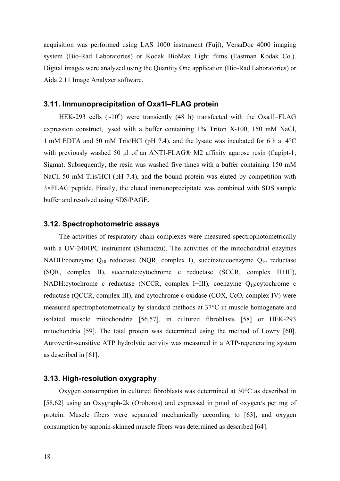acquisition was performed using LAS 1000 instrument (Fuji), VersaDoc 4000 imaging system (Bio-Rad Laboratories) or Kodak BioMax Light films (Eastman Kodak Co.). Digital images were analyzed using the Quantity One application (Bio-Rad Laboratories) or Aida 2.11 Image Analyzer software.

#### **3.11. Immunoprecipitation of Oxa1l–FLAG protein**

HEK-293 cells ( $\sim$ 10<sup>6</sup>) were transiently (48 h) transfected with the Oxa1l–FLAG expression construct, lysed with a buffer containing 1% Triton X-100, 150 mM NaCl, 1 mM EDTA and 50 mM Tris/HCl (pH 7.4), and the lysate was incubated for 6 h at 4°C with previously washed 50 μl of an ANTI-FLAG® M2 affinity agarose resin (flagipt-1; Sigma). Subsequently, the resin was washed five times with a buffer containing 150 mM NaCl, 50 mM Tris/HCl (pH 7.4), and the bound protein was eluted by competition with 3×FLAG peptide. Finally, the eluted immunoprecipitate was combined with SDS sample buffer and resolved using SDS/PAGE.

#### **3.12. Spectrophotometric assays**

The activities of respiratory chain complexes were measured spectrophotometrically with a UV-2401PC instrument (Shimadzu). The activities of the mitochondrial enzymes NADH:coenzyme  $Q_{10}$  reductase (NQR, complex I), succinate:coenzyme  $Q_{10}$  reductase (SQR, complex II), succinate:cytochrome c reductase (SCCR, complex II+III), NADH:cytochrome c reductase (NCCR, complex I+III), coenzyme Q10:cytochrome c reductase (QCCR, complex III), and cytochrome c oxidase (COX, CcO, complex IV) were measured spectrophotometrically by standard methods at 37°C in muscle homogenate and isolated muscle mitochondria [56,57], in cultured fibroblasts [58] or HEK-293 mitochondria [59]. The total protein was determined using the method of Lowry [60]. Aurovertin-sensitive ATP hydrolytic activity was measured in a ATP-regenerating system as described in [61].

#### **3.13. High-resolution oxygraphy**

Oxygen consumption in cultured fibroblasts was determined at 30°C as described in [58,62] using an Oxygraph-2k (Oroboros) and expressed in pmol of oxygen/s per mg of protein. Muscle fibers were separated mechanically according to [63], and oxygen consumption by saponin-skinned muscle fibers was determined as described [64].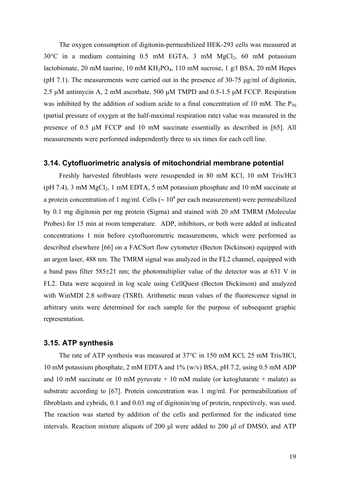The oxygen consumption of digitonin-permeabilized HEK-293 cells was measured at  $30^{\circ}$ C in a medium containing 0.5 mM EGTA, 3 mM MgCl<sub>2</sub>, 60 mM potassium lactobionate, 20 mM taurine, 10 mM  $KH_2PO_4$ , 110 mM sucrose, 1 g/l BSA, 20 mM Hepes (pH 7.1). The measurements were carried out in the presence of 30-75 μg/ml of digitonin, 2.5 μM antimycin A, 2 mM ascorbate, 500 μM TMPD and 0.5-1.5 μM FCCP. Respiration was inhibited by the addition of sodium azide to a final concentration of 10 mM. The  $P_{50}$ (partial pressure of oxygen at the half-maximal respiration rate) value was measured in the presence of 0.5 μM FCCP and 10 mM succinate essentially as described in [65]. All measurements were performed independently three to six times for each cell line.

#### **3.14. Cytofluorimetric analysis of mitochondrial membrane potential**

Freshly harvested fibroblasts were resuspended in 80 mM KCl, 10 mM Tris/HCl (pH 7.4), 3 mM  $MgCl<sub>2</sub>$ , 1 mM EDTA, 5 mM potassium phosphate and 10 mM succinate at a protein concentration of 1 mg/ml. Cells ( $\sim 10^4$  per each measurement) were permeabilized by 0.1 mg digitonin per mg protein (Sigma) and stained with 20 nM TMRM (Molecular Probes) for 15 min at room temperature. ADP, inhibitors, or both were added at indicated concentrations 1 min before cytofluorometric measurements, which were performed as described elsewhere [66] on a FACSort flow cytometer (Becton Dickinson) equipped with an argon laser, 488 nm. The TMRM signal was analyzed in the FL2 channel, equipped with a band pass filter 585±21 nm; the photomultiplier value of the detector was at 631 V in FL2. Data were acquired in log scale using CellQuest (Becton Dickinson) and analyzed with WinMDI 2.8 software (TSRI). Arithmetic mean values of the fluorescence signal in arbitrary units were determined for each sample for the purpose of subsequent graphic representation.

#### **3.15. ATP synthesis**

The rate of ATP synthesis was measured at 37°C in 150 mM KCl, 25 mM Tris/HCl, 10 mM potassium phosphate, 2 mM EDTA and 1% (w/v) BSA, pH 7.2, using 0.5 mM ADP and 10 mM succinate or 10 mM pyruvate  $+$  10 mM malate (or ketoglutarate  $+$  malate) as substrate according to [67]. Protein concentration was 1 mg/ml. For permeabilization of fibroblasts and cybrids, 0.1 and 0.03 mg of digitonin/mg of protein, respectively, was used. The reaction was started by addition of the cells and performed for the indicated time intervals. Reaction mixture aliquots of 200 μl were added to 200 μl of DMSO, and ATP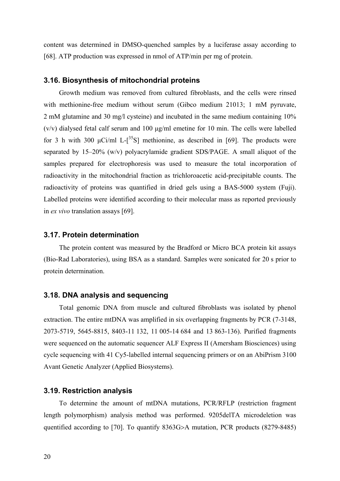content was determined in DMSO-quenched samples by a luciferase assay according to [68]. ATP production was expressed in nmol of ATP/min per mg of protein.

#### **3.16. Biosynthesis of mitochondrial proteins**

Growth medium was removed from cultured fibroblasts, and the cells were rinsed with methionine-free medium without serum (Gibco medium 21013; 1 mM pyruvate, 2 mM glutamine and 30 mg/l cysteine) and incubated in the same medium containing 10% (v/v) dialysed fetal calf serum and 100 μg/ml emetine for 10 min. The cells were labelled for 3 h with 300  $\mu$ Ci/ml L-[<sup>35</sup>S] methionine, as described in [69]. The products were separated by 15–20% (w/v) polyacrylamide gradient SDS/PAGE. A small aliquot of the samples prepared for electrophoresis was used to measure the total incorporation of radioactivity in the mitochondrial fraction as trichloroacetic acid-precipitable counts. The radioactivity of proteins was quantified in dried gels using a BAS-5000 system (Fuji). Labelled proteins were identified according to their molecular mass as reported previously in *ex vivo* translation assays [69].

#### **3.17. Protein determination**

The protein content was measured by the Bradford or Micro BCA protein kit assays (Bio-Rad Laboratories), using BSA as a standard. Samples were sonicated for 20 s prior to protein determination.

#### **3.18. DNA analysis and sequencing**

Total genomic DNA from muscle and cultured fibroblasts was isolated by phenol extraction. The entire mtDNA was amplified in six overlapping fragments by PCR (7-3148, 2073-5719, 5645-8815, 8403-11 132, 11 005-14 684 and 13 863-136). Purified fragments were sequenced on the automatic sequencer ALF Express II (Amersham Biosciences) using cycle sequencing with 41 Cy5-labelled internal sequencing primers or on an AbiPrism 3100 Avant Genetic Analyzer (Applied Biosystems).

#### **3.19. Restriction analysis**

To determine the amount of mtDNA mutations, PCR/RFLP (restriction fragment length polymorphism) analysis method was performed. 9205delTA microdeletion was quentified according to [70]. To quantify 8363G>A mutation, PCR products (8279-8485)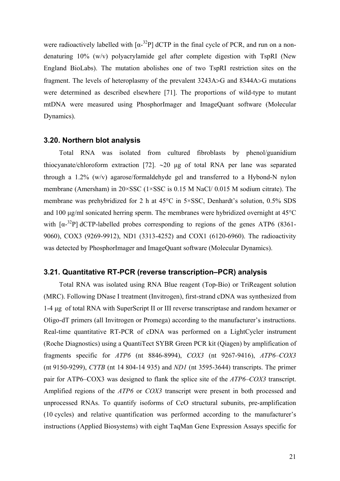were radioactively labelled with  $\lceil \alpha^{-32}P \rceil$  dCTP in the final cycle of PCR, and run on a nondenaturing 10% (w/v) polyacrylamide gel after complete digestion with TspRI (New England BioLabs). The mutation abolishes one of two TspRI restriction sites on the fragment. The levels of heteroplasmy of the prevalent 3243A>G and 8344A>G mutations were determined as described elsewhere [71]. The proportions of wild-type to mutant mtDNA were measured using PhosphorImager and ImageQuant software (Molecular Dynamics).

#### **3.20. Northern blot analysis**

Total RNA was isolated from cultured fibroblasts by phenol/guanidium thiocyanate/chloroform extraction [72]. ∼20 μg of total RNA per lane was separated through a 1.2% (w/v) agarose/formaldehyde gel and transferred to a Hybond-N nylon membrane (Amersham) in 20×SSC (1×SSC is 0.15 M NaCl/ 0.015 M sodium citrate). The membrane was prehybridized for 2 h at 45°C in 5×SSC, Denhardt's solution, 0.5% SDS and 100 μg/ml sonicated herring sperm. The membranes were hybridized overnight at 45°C with  $\lceil \alpha^{-32}P \rceil$  dCTP-labelled probes corresponding to regions of the genes ATP6 (8361-9060), COX3 (9269-9912), ND1 (3313-4252) and COX1 (6120-6960). The radioactivity was detected by PhosphorImager and ImageQuant software (Molecular Dynamics).

### **3.21. Quantitative RT-PCR (reverse transcription–PCR) analysis**

Total RNA was isolated using RNA Blue reagent (Top-Bio) or TriReagent solution (MRC). Following DNase I treatment (Invitrogen), first-strand cDNA was synthesized from 1-4 μg of total RNA with SuperScript II or III reverse transcriptase and random hexamer or Oligo-dT primers (all Invitrogen or Promega) according to the manufacturer's instructions. Real-time quantitative RT-PCR of cDNA was performed on a LightCycler instrument (Roche Diagnostics) using a QuantiTect SYBR Green PCR kit (Qiagen) by amplification of fragments specific for *ATP6* (nt 8846-8994), *COX3* (nt 9267-9416), *ATP6–COX3* (nt 9150-9299), *CYTB* (nt 14 804-14 935) and *ND1* (nt 3595-3644) transcripts. The primer pair for ATP6–COX3 was designed to flank the splice site of the *ATP6–COX3* transcript. Amplified regions of the *ATP6* or *COX3* transcript were present in both processed and unprocessed RNAs. To quantify isoforms of CcO structural subunits, pre-amplification (10 cycles) and relative quantification was performed according to the manufacturer's instructions (Applied Biosystems) with eight TaqMan Gene Expression Assays specific for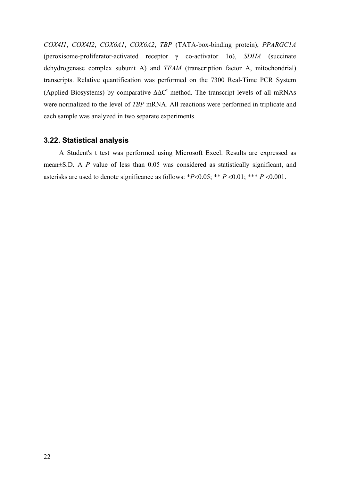*COX4I1*, *COX4I2*, *COX6A1*, *COX6A2*, *TBP* (TATA-box-binding protein), *PPARGC1A* (peroxisome-proliferator-activated receptor γ co-activator 1α), *SDHA* (succinate dehydrogenase complex subunit A) and *TFAM* (transcription factor A, mitochondrial) transcripts. Relative quantification was performed on the 7300 Real-Time PCR System (Applied Biosystems) by comparative  $\Delta \Delta C^t$  method. The transcript levels of all mRNAs were normalized to the level of *TBP* mRNA. All reactions were performed in triplicate and each sample was analyzed in two separate experiments.

#### **3.22. Statistical analysis**

A Student's t test was performed using Microsoft Excel. Results are expressed as mean±S.D. A *P* value of less than 0.05 was considered as statistically significant, and asterisks are used to denote significance as follows: \**P*<0.05; \*\* *P* <0.01; \*\*\* *P* <0.001.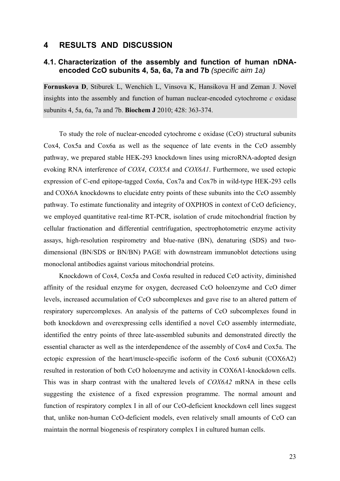### **4 RESULTS AND DISCUSSION**

## **4.1. Characterization of the assembly and function of human nDNAencoded CcO subunits 4, 5a, 6a, 7a and 7b** *(specific aim 1a)*

**Fornuskova D**, Stiburek L, Wenchich L, Vinsova K, Hansikova H and Zeman J. Novel insights into the assembly and function of human nuclear-encoded cytochrome *c* oxidase subunits 4, 5a, 6a, 7a and 7b. **Biochem J** 2010; 428: 363-374.

To study the role of nuclear-encoded cytochrome c oxidase (CcO) structural subunits Cox4, Cox5a and Cox6a as well as the sequence of late events in the CcO assembly pathway, we prepared stable HEK-293 knockdown lines using microRNA-adopted design evoking RNA interference of *COX4*, *COX5A* and *COX6A1*. Furthermore, we used ectopic expression of C-end epitope-tagged Cox6a, Cox7a and Cox7b in wild-type HEK-293 cells and COX6A knockdowns to elucidate entry points of these subunits into the CcO assembly pathway. To estimate functionality and integrity of OXPHOS in context of CcO deficiency, we employed quantitative real-time RT-PCR, isolation of crude mitochondrial fraction by cellular fractionation and differential centrifugation, spectrophotometric enzyme activity assays, high-resolution respirometry and blue-native (BN), denaturing (SDS) and twodimensional (BN/SDS or BN/BN) PAGE with downstream immunoblot detections using monoclonal antibodies against various mitochondrial proteins.

Knockdown of Cox4, Cox5a and Cox6a resulted in reduced CcO activity, diminished affinity of the residual enzyme for oxygen, decreased CcO holoenzyme and CcO dimer levels, increased accumulation of CcO subcomplexes and gave rise to an altered pattern of respiratory supercomplexes. An analysis of the patterns of CcO subcomplexes found in both knockdown and overexpressing cells identified a novel CcO assembly intermediate, identified the entry points of three late-assembled subunits and demonstrated directly the essential character as well as the interdependence of the assembly of Cox4 and Cox5a. The ectopic expression of the heart/muscle-specific isoform of the Cox6 subunit (COX6A2) resulted in restoration of both CcO holoenzyme and activity in COX6A1-knockdown cells. This was in sharp contrast with the unaltered levels of *COX6A2* mRNA in these cells suggesting the existence of a fixed expression programme. The normal amount and function of respiratory complex I in all of our CcO-deficient knockdown cell lines suggest that, unlike non-human CcO-deficient models, even relatively small amounts of CcO can maintain the normal biogenesis of respiratory complex I in cultured human cells.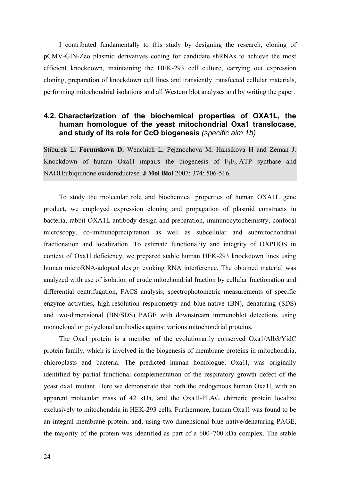I contributed fundamentally to this study by designing the research, cloning of pCMV-GIN-Zeo plasmid derivatives coding for candidate shRNAs to achieve the most efficient knockdown, maintaining the HEK-293 cell culture, carrying out expression cloning, preparation of knockdown cell lines and transiently transfected cellular materials, performing mitochondrial isolations and all Western blot analyses and by writing the paper.

## **4.2. Characterization of the biochemical properties of OXA1L, the human homologue of the yeast mitochondrial Oxa1 translocase, and study of its role for CcO biogenesis** *(specific aim 1b)*

Stiburek L, **Fornuskova D**, Wenchich L, Pejznochova M, Hansikova H and Zeman J. Knockdown of human Oxa1l impairs the biogenesis of  $F_1F_0$ -ATP synthase and NADH:ubiquinone oxidoreductase. **J Mol Biol** 2007; 374: 506-516.

To study the molecular role and biochemical properties of human OXA1L gene product, we employed expression cloning and propagation of plasmid constructs in bacteria, rabbit OXA1L antibody design and preparation, immunocytochemistry, confocal microscopy, co-immunoprecipitation as well as subcellular and submitochondrial fractionation and localization. To estimate functionality and integrity of OXPHOS in context of Oxa1l deficiency, we prepared stable human HEK-293 knockdown lines using human microRNA-adopted design evoking RNA interference. The obtained material was analyzed with use of isolation of crude mitochondrial fraction by cellular fractionation and differential centrifugation, FACS analysis, spectrophotometric measurements of specific enzyme activities, high-resolution respirometry and blue-native (BN), denaturing (SDS) and two-dimensional (BN/SDS) PAGE with downstream immunoblot detections using monoclonal or polyclonal antibodies against various mitochondrial proteins.

The Oxa1 protein is a member of the evolutionarily conserved Oxa1/Alb3/YidC protein family, which is involved in the biogenesis of membrane proteins in mitochondria, chloroplasts and bacteria. The predicted human homologue, Oxa1l, was originally identified by partial functional complementation of the respiratory growth defect of the yeast oxa1 mutant. Here we demonstrate that both the endogenous human Oxa1l, with an apparent molecular mass of 42 kDa, and the Oxa1l-FLAG chimeric protein localize exclusively to mitochondria in HEK-293 cells. Furthermore, human Oxa1l was found to be an integral membrane protein, and, using two-dimensional blue native/denaturing PAGE, the majority of the protein was identified as part of a 600–700 kDa complex. The stable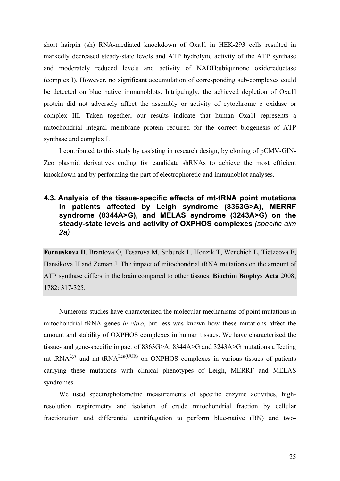short hairpin (sh) RNA-mediated knockdown of Oxa1l in HEK-293 cells resulted in markedly decreased steady-state levels and ATP hydrolytic activity of the ATP synthase and moderately reduced levels and activity of NADH:ubiquinone oxidoreductase (complex I). However, no significant accumulation of corresponding sub-complexes could be detected on blue native immunoblots. Intriguingly, the achieved depletion of Oxa1l protein did not adversely affect the assembly or activity of cytochrome c oxidase or complex III. Taken together, our results indicate that human Oxa1l represents a mitochondrial integral membrane protein required for the correct biogenesis of ATP synthase and complex I.

I contributed to this study by assisting in research design, by cloning of pCMV-GIN-Zeo plasmid derivatives coding for candidate shRNAs to achieve the most efficient knockdown and by performing the part of electrophoretic and immunoblot analyses.

## **4.3. Analysis of the tissue-specific effects of mt-tRNA point mutations in patients affected by Leigh syndrome (8363G>A), MERRF syndrome (8344A>G), and MELAS syndrome (3243A>G) on the steady-state levels and activity of OXPHOS complexes** *(specific aim 2a)*

**Fornuskova D**, Brantova O, Tesarova M, Stiburek L, Honzik T, Wenchich L, Tietzeova E, Hansikova H and Zeman J. The impact of mitochondrial tRNA mutations on the amount of ATP synthase differs in the brain compared to other tissues. **Biochim Biophys Acta** 2008; 1782: 317-325.

Numerous studies have characterized the molecular mechanisms of point mutations in mitochondrial tRNA genes *in vitro*, but less was known how these mutations affect the amount and stability of OXPHOS complexes in human tissues. We have characterized the tissue- and gene-specific impact of 8363G>A, 8344A>G and 3243A>G mutations affecting  $mt$ -tRNA<sup>Lys</sup> and  $mt$ -tRNA<sup>Leu(UUR)</sup> on OXPHOS complexes in various tissues of patients carrying these mutations with clinical phenotypes of Leigh, MERRF and MELAS syndromes.

We used spectrophotometric measurements of specific enzyme activities, highresolution respirometry and isolation of crude mitochondrial fraction by cellular fractionation and differential centrifugation to perform blue-native (BN) and two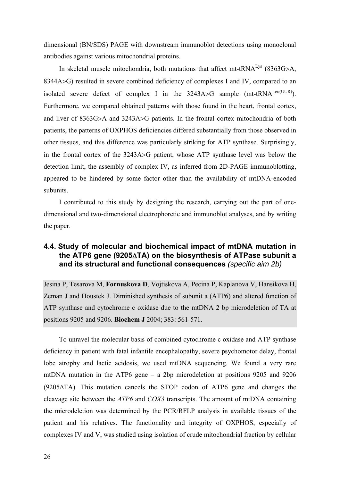dimensional (BN/SDS) PAGE with downstream immunoblot detections using monoclonal antibodies against various mitochondrial proteins.

In skeletal muscle mitochondria, both mutations that affect mt-tRNA<sup>Lys</sup> (8363G>A, 8344A>G) resulted in severe combined deficiency of complexes I and IV, compared to an isolated severe defect of complex I in the  $3243A > G$  sample (mt-tRNA<sup>Leu(UUR)</sup>). Furthermore, we compared obtained patterns with those found in the heart, frontal cortex, and liver of 8363G>A and 3243A>G patients. In the frontal cortex mitochondria of both patients, the patterns of OXPHOS deficiencies differed substantially from those observed in other tissues, and this difference was particularly striking for ATP synthase. Surprisingly, in the frontal cortex of the 3243A>G patient, whose ATP synthase level was below the detection limit, the assembly of complex IV, as inferred from 2D-PAGE immunoblotting, appeared to be hindered by some factor other than the availability of mtDNA-encoded subunits.

I contributed to this study by designing the research, carrying out the part of onedimensional and two-dimensional electrophoretic and immunoblot analyses, and by writing the paper.

## **4.4. Study of molecular and biochemical impact of mtDNA mutation in the ATP6 gene (9205**Δ**TA) on the biosynthesis of ATPase subunit a and its structural and functional consequences** *(specific aim 2b)*

Jesina P, Tesarova M, **Fornuskova D**, Vojtiskova A, Pecina P, Kaplanova V, Hansikova H, Zeman J and Houstek J. Diminished synthesis of subunit a (ATP6) and altered function of ATP synthase and cytochrome c oxidase due to the mtDNA 2 bp microdeletion of TA at positions 9205 and 9206. **Biochem J** 2004; 383: 561-571.

To unravel the molecular basis of combined cytochrome c oxidase and ATP synthase deficiency in patient with fatal infantile encephalopathy, severe psychomotor delay, frontal lobe atrophy and lactic acidosis, we used mtDNA sequencing. We found a very rare mtDNA mutation in the ATP6 gene – a 2bp microdeletion at positions 9205 and 9206 (9205ΔTA). This mutation cancels the STOP codon of ATP6 gene and changes the cleavage site between the *ATP6* and *COX3* transcripts. The amount of mtDNA containing the microdeletion was determined by the PCR/RFLP analysis in available tissues of the patient and his relatives. The functionality and integrity of OXPHOS, especially of complexes IV and V, was studied using isolation of crude mitochondrial fraction by cellular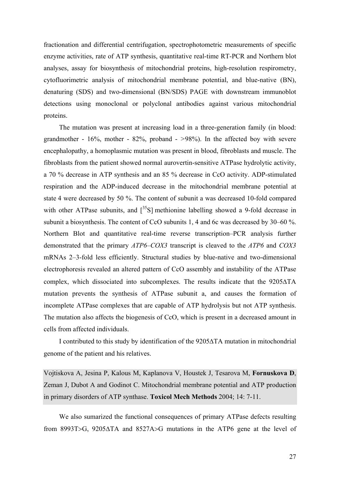fractionation and differential centrifugation, spectrophotometric measurements of specific enzyme activities, rate of ATP synthesis, quantitative real-time RT-PCR and Northern blot analyses, assay for biosynthesis of mitochondrial proteins, high-resolution respirometry, cytofluorimetric analysis of mitochondrial membrane potential, and blue-native (BN), denaturing (SDS) and two-dimensional (BN/SDS) PAGE with downstream immunoblot detections using monoclonal or polyclonal antibodies against various mitochondrial proteins.

The mutation was present at increasing load in a three-generation family (in blood: grandmother - 16%, mother - 82%, proband - *>*98%). In the affected boy with severe encephalopathy, a homoplasmic mutation was present in blood, fibroblasts and muscle. The fibroblasts from the patient showed normal aurovertin-sensitive ATPase hydrolytic activity, a 70 % decrease in ATP synthesis and an 85 % decrease in CcO activity. ADP-stimulated respiration and the ADP-induced decrease in the mitochondrial membrane potential at state 4 were decreased by 50 %. The content of subunit a was decreased 10-fold compared with other ATPase subunits, and  $[35S]$  methionine labelling showed a 9-fold decrease in subunit a biosynthesis. The content of CcO subunits 1, 4 and 6c was decreased by 30–60 %. Northern Blot and quantitative real-time reverse transcription–PCR analysis further demonstrated that the primary *ATP6–COX3* transcript is cleaved to the *ATP6* and *COX3* mRNAs 2–3-fold less efficiently. Structural studies by blue-native and two-dimensional electrophoresis revealed an altered pattern of CcO assembly and instability of the ATPase complex, which dissociated into subcomplexes. The results indicate that the 9205ΔTA mutation prevents the synthesis of ATPase subunit a, and causes the formation of incomplete ATPase complexes that are capable of ATP hydrolysis but not ATP synthesis. The mutation also affects the biogenesis of CcO, which is present in a decreased amount in cells from affected individuals.

I contributed to this study by identification of the 9205ΔTA mutation in mitochondrial genome of the patient and his relatives.

Vojtiskova A, Jesina P, Kalous M, Kaplanova V, Houstek J, Tesarova M, **Fornuskova D**, Zeman J, Dubot A and Godinot C. Mitochondrial membrane potential and ATP production in primary disorders of ATP synthase. **Toxicol Mech Methods** 2004; 14: 7-11.

We also sumarized the functional consequences of primary ATPase defects resulting from 8993T>G, 9205ΔTA and 8527A>G mutations in the ATP6 gene at the level of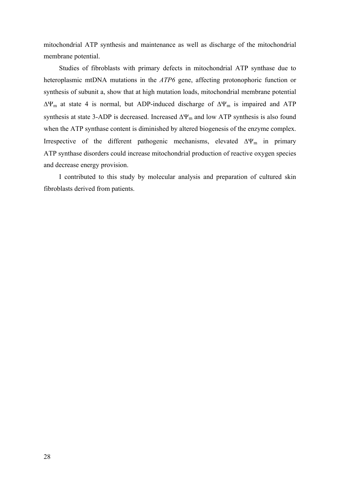mitochondrial ATP synthesis and maintenance as well as discharge of the mitochondrial membrane potential.

Studies of fibroblasts with primary defects in mitochondrial ATP synthase due to heteroplasmic mtDNA mutations in the *ATP6* gene, affecting protonophoric function or synthesis of subunit a, show that at high mutation loads, mitochondrial membrane potential  $\Delta\Psi_m$  at state 4 is normal, but ADP-induced discharge of  $\Delta\Psi_m$  is impaired and ATP synthesis at state 3-ADP is decreased. Increased  $\Delta\Psi_m$  and low ATP synthesis is also found when the ATP synthase content is diminished by altered biogenesis of the enzyme complex. Irrespective of the different pathogenic mechanisms, elevated  $\Delta \Psi_{\rm m}$  in primary ATP synthase disorders could increase mitochondrial production of reactive oxygen species and decrease energy provision.

I contributed to this study by molecular analysis and preparation of cultured skin fibroblasts derived from patients.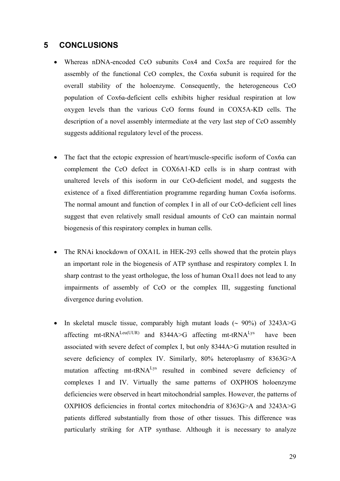## **5 CONCLUSIONS**

- Whereas nDNA-encoded CcO subunits Cox4 and Cox5a are required for the assembly of the functional CcO complex, the Cox6a subunit is required for the overall stability of the holoenzyme. Consequently, the heterogeneous CcO population of Cox6a-deficient cells exhibits higher residual respiration at low oxygen levels than the various CcO forms found in COX5A-KD cells. The description of a novel assembly intermediate at the very last step of CcO assembly suggests additional regulatory level of the process.
- The fact that the ectopic expression of heart/muscle-specific isoform of Cox6a can complement the CcO defect in COX6A1-KD cells is in sharp contrast with unaltered levels of this isoform in our CcO-deficient model, and suggests the existence of a fixed differentiation programme regarding human Cox6a isoforms. The normal amount and function of complex I in all of our CcO-deficient cell lines suggest that even relatively small residual amounts of CcO can maintain normal biogenesis of this respiratory complex in human cells.
- The RNAi knockdown of OXA1L in HEK-293 cells showed that the protein plays an important role in the biogenesis of ATP synthase and respiratory complex I. In sharp contrast to the yeast orthologue, the loss of human Oxa1l does not lead to any impairments of assembly of CcO or the complex III, suggesting functional divergence during evolution.
- In skeletal muscle tissue, comparably high mutant loads (∼ 90%) of 3243A>G affecting mt-tRNA<sup>Leu(UUR)</sup> and 8344A>G affecting mt-tRNA<sup>Lys</sup> have been associated with severe defect of complex I, but only 8344A>G mutation resulted in severe deficiency of complex IV. Similarly, 80% heteroplasmy of 8363G>A mutation affecting mt-tRNA<sup>Lys</sup> resulted in combined severe deficiency of complexes I and IV. Virtually the same patterns of OXPHOS holoenzyme deficiencies were observed in heart mitochondrial samples. However, the patterns of OXPHOS deficiencies in frontal cortex mitochondria of 8363G>A and 3243A>G patients differed substantially from those of other tissues. This difference was particularly striking for ATP synthase. Although it is necessary to analyze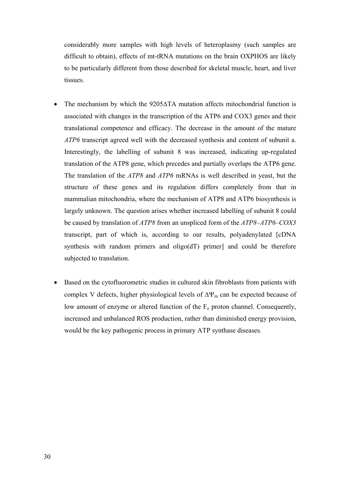considerably more samples with high levels of heteroplasmy (such samples are difficult to obtain), effects of mt-tRNA mutations on the brain OXPHOS are likely to be particularly different from those described for skeletal muscle, heart, and liver tissues.

- The mechanism by which the  $9205\Delta T$ A mutation affects mitochondrial function is associated with changes in the transcription of the ATP6 and COX3 genes and their translational competence and efficacy. The decrease in the amount of the mature *ATP6* transcript agreed well with the decreased synthesis and content of subunit a. Interestingly, the labelling of subunit 8 was increased, indicating up-regulated translation of the ATP8 gene, which precedes and partially overlaps the ATP6 gene. The translation of the *ATP8* and *ATP6* mRNAs is well described in yeast, but the structure of these genes and its regulation differs completely from that in mammalian mitochondria, where the mechanism of ATP8 and ATP6 biosynthesis is largely unknown. The question arises whether increased labelling of subunit 8 could be caused by translation of *ATP8* from an unspliced form of the *ATP8–ATP6–COX3* transcript, part of which is, according to our results, polyadenylated [cDNA synthesis with random primers and oligo(dT) primer] and could be therefore subjected to translation.
- Based on the cytofluorometric studies in cultured skin fibroblasts from patients with complex V defects, higher physiological levels of  $\Delta\Psi_m$  can be expected because of low amount of enzyme or altered function of the  $F_0$  proton channel. Consequently, increased and unbalanced ROS production, rather than diminished energy provision, would be the key pathogenic process in primary ATP synthase diseases.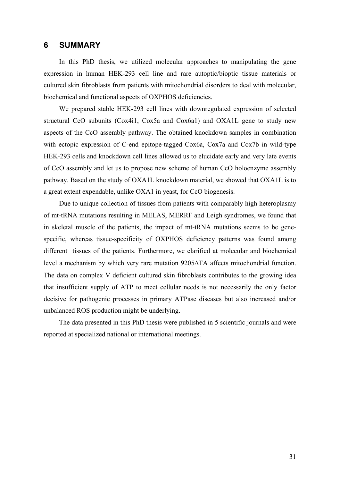#### **6 SUMMARY**

In this PhD thesis, we utilized molecular approaches to manipulating the gene expression in human HEK-293 cell line and rare autoptic/bioptic tissue materials or cultured skin fibroblasts from patients with mitochondrial disorders to deal with molecular, biochemical and functional aspects of OXPHOS deficiencies.

We prepared stable HEK-293 cell lines with downregulated expression of selected structural CcO subunits (Cox4i1, Cox5a and Cox6a1) and OXA1L gene to study new aspects of the CcO assembly pathway. The obtained knockdown samples in combination with ectopic expression of C-end epitope-tagged Cox6a, Cox7a and Cox7b in wild-type HEK-293 cells and knockdown cell lines allowed us to elucidate early and very late events of CcO assembly and let us to propose new scheme of human CcO holoenzyme assembly pathway. Based on the study of OXA1L knockdown material, we showed that OXA1L is to a great extent expendable, unlike OXA1 in yeast, for CcO biogenesis.

Due to unique collection of tissues from patients with comparably high heteroplasmy of mt-tRNA mutations resulting in MELAS, MERRF and Leigh syndromes, we found that in skeletal muscle of the patients, the impact of mt-tRNA mutations seems to be genespecific, whereas tissue-specificity of OXPHOS deficiency patterns was found among different tissues of the patients. Furthermore, we clarified at molecular and biochemical level a mechanism by which very rare mutation 9205ΔTA affects mitochondrial function. The data on complex V deficient cultured skin fibroblasts contributes to the growing idea that insufficient supply of ATP to meet cellular needs is not necessarily the only factor decisive for pathogenic processes in primary ATPase diseases but also increased and/or unbalanced ROS production might be underlying.

The data presented in this PhD thesis were published in 5 scientific journals and were reported at specialized national or international meetings.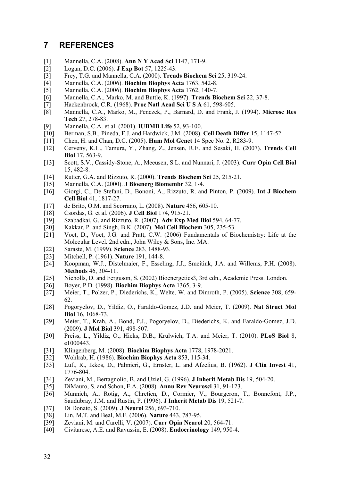## **7 REFERENCES**

- [1] Mannella, C.A. (2008). **Ann N Y Acad Sci** 1147, 171-9.
- [2] Logan, D.C. (2006). **J Exp Bot** 57, 1225-43.
- [3] Frey, T.G. and Mannella, C.A. (2000). **Trends Biochem Sci** 25, 319-24.
- [4] Mannella, C.A. (2006). **Biochim Biophys Acta** 1763, 542-8.
- [5] Mannella, C.A. (2006). **Biochim Biophys Acta** 1762, 140-7.
- [6] Mannella, C.A., Marko, M. and Buttle, K. (1997). **Trends Biochem Sci** 22, 37-8.
- [7] Hackenbrock, C.R. (1968). **Proc Natl Acad Sci U S A** 61, 598-605.
- [8] Mannella, C.A., Marko, M., Penczek, P., Barnard, D. and Frank, J. (1994). **Microsc Res Tech** 27, 278-83.
- [9] Mannella, C.A. et al. (2001). **IUBMB Life** 52, 93-100.
- [10] Berman, S.B., Pineda, F.J. and Hardwick, J.M. (2008). **Cell Death Differ** 15, 1147-52.
- [11] Chen, H. and Chan, D.C. (2005). **Hum Mol Genet** 14 Spec No. 2, R283-9.
- [12] Cerveny, K.L., Tamura, Y., Zhang, Z., Jensen, R.E. and Sesaki, H. (2007). **Trends Cell Biol** 17, 563-9.
- [13] Scott, S.V., Cassidy-Stone, A., Meeusen, S.L. and Nunnari, J. (2003). **Curr Opin Cell Biol** 15, 482-8.
- [14] Rutter, G.A. and Rizzuto, R. (2000). **Trends Biochem Sci** 25, 215-21.
- [15] Mannella, C.A. (2000). **J Bioenerg Biomembr** 32, 1-4.
- [16] Giorgi, C., De Stefani, D., Bononi, A., Rizzuto, R. and Pinton, P. (2009). **Int J Biochem Cell Biol** 41, 1817-27.
- [17] de Brito, O.M. and Scorrano, L. (2008). **Nature** 456, 605-10.
- [18] Csordas, G. et al. (2006). **J Cell Biol** 174, 915-21.
- [19] Szabadkai, G. and Rizzuto, R. (2007). **Adv Exp Med Biol** 594, 64-77.
- [20] Kakkar, P. and Singh, B.K. (2007). **Mol Cell Biochem** 305, 235-53.
- [21] Voet, D., Voet, J.G. and Pratt, C.W. (2006) Fundamentals of Biochemistry: Life at the Molecular Level*,* 2nd edn., John Wiley & Sons, Inc. MA.
- [22] Saraste, M. (1999). **Science** 283, 1488-93.
- [23] Mitchell, P. (1961). **Nature** 191, 144-8.
- [24] Koopman, W.J., Distelmaier, F., Esseling, J.J., Smeitink, J.A. and Willems, P.H. (2008). **Methods** 46, 304-11.
- [25] Nicholls, D. and Ferguson, S. (2002) Bioenergetics3*,* 3rd edn., Academic Press. London.
- [26] Boyer, P.D. (1998). **Biochim Biophys Acta** 1365, 3-9.
- [27] Meier, T., Polzer, P., Diederichs, K., Welte, W. and Dimroth, P. (2005). **Science** 308, 659- 62.
- [28] Pogoryelov, D., Yildiz, O., Faraldo-Gomez, J.D. and Meier, T. (2009). **Nat Struct Mol Biol** 16, 1068-73.
- [29] Meier, T., Krah, A., Bond, P.J., Pogoryelov, D., Diederichs, K. and Faraldo-Gomez, J.D. (2009). **J Mol Biol** 391, 498-507.
- [30] Preiss, L., Yildiz, O., Hicks, D.B., Krulwich, T.A. and Meier, T. (2010). **PLoS Biol** 8, e1000443.
- [31] Klingenberg, M. (2008). **Biochim Biophys Acta** 1778, 1978-2021.
- [32] Wohlrab, H. (1986). **Biochim Biophys Acta** 853, 115-34.
- [33] Luft, R., Ikkos, D., Palmieri, G., Ernster, L. and Afzelius, B. (1962). **J Clin Invest** 41, 1776-804.
- [34] Zeviani, M., Bertagnolio, B. and Uziel, G. (1996). **J Inherit Metab Dis** 19, 504-20.
- [35] DiMauro, S. and Schon, E.A. (2008). **Annu Rev Neurosci** 31, 91-123.
- [36] Munnich, A., Rotig, A., Chretien, D., Cormier, V., Bourgeron, T., Bonnefont, J.P., Saudubray, J.M. and Rustin, P. (1996). **J Inherit Metab Dis** 19, 521-7.
- [37] Di Donato, S. (2009). **J Neurol** 256, 693-710.
- [38] Lin, M.T. and Beal, M.F. (2006). **Nature** 443, 787-95.
- [39] Zeviani, M. and Carelli, V. (2007). **Curr Opin Neurol** 20, 564-71.
- [40] Civitarese, A.E. and Ravussin, E. (2008). **Endocrinology** 149, 950-4.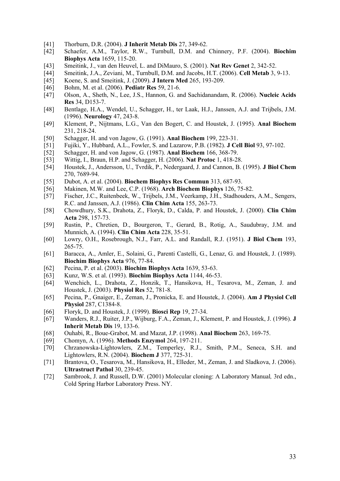- [41] Thorburn, D.R. (2004). **J Inherit Metab Dis** 27, 349-62.
- [42] Schaefer, A.M., Taylor, R.W., Turnbull, D.M. and Chinnery, P.F. (2004). **Biochim Biophys Acta** 1659, 115-20.
- [43] Smeitink, J., van den Heuvel, L. and DiMauro, S. (2001). **Nat Rev Genet** 2, 342-52.
- [44] Smeitink, J.A., Zeviani, M., Turnbull, D.M. and Jacobs, H.T. (2006). **Cell Metab** 3, 9-13.
- [45] Koene, S. and Smeitink, J. (2009). **J Intern Med** 265, 193-209.
- [46] Bohm, M. et al. (2006). **Pediatr Res** 59, 21-6.
- [47] Olson, A., Sheth, N., Lee, J.S., Hannon, G. and Sachidanandam, R. (2006). **Nucleic Acids Res** 34, D153-7.
- [48] Bentlage, H.A., Wendel, U., Schagger, H., ter Laak, H.J., Janssen, A.J. and Trijbels, J.M. (1996). **Neurology** 47, 243-8.
- [49] Klement, P., Nijtmans, L.G., Van den Bogert, C. and Houstek, J. (1995). **Anal Biochem** 231, 218-24.
- [50] Schagger, H. and von Jagow, G. (1991). **Anal Biochem** 199, 223-31.
- [51] Fujiki, Y., Hubbard, A.L., Fowler, S. and Lazarow, P.B. (1982). **J Cell Biol** 93, 97-102.
- [52] Schagger, H. and von Jagow, G. (1987). **Anal Biochem** 166, 368-79.
- [53] Wittig, I., Braun, H.P. and Schagger, H. (2006). **Nat Protoc** 1, 418-28.
- [54] Houstek, J., Andersson, U., Tvrdik, P., Nedergaard, J. and Cannon, B. (1995). **J Biol Chem** 270, 7689-94.
- [55] Dubot, A. et al. (2004). **Biochem Biophys Res Commun** 313, 687-93.
- [56] Makinen, M.W. and Lee, C.P. (1968). **Arch Biochem Biophys** 126, 75-82.
- [57] Fischer, J.C., Ruitenbeek, W., Trijbels, J.M., Veerkamp, J.H., Stadhouders, A.M., Sengers, R.C. and Janssen, A.J. (1986). **Clin Chim Acta** 155, 263-73.
- [58] Chowdhury, S.K., Drahota, Z., Floryk, D., Calda, P. and Houstek, J. (2000). **Clin Chim Acta** 298, 157-73.
- [59] Rustin, P., Chretien, D., Bourgeron, T., Gerard, B., Rotig, A., Saudubray, J.M. and Munnich, A. (1994). **Clin Chim Acta** 228, 35-51.
- [60] Lowry, O.H., Rosebrough, N.J., Farr, A.L. and Randall, R.J. (1951). **J Biol Chem** 193, 265-75.
- [61] Baracca, A., Amler, E., Solaini, G., Parenti Castelli, G., Lenaz, G. and Houstek, J. (1989). **Biochim Biophys Acta** 976, 77-84.
- [62] Pecina, P. et al. (2003). **Biochim Biophys Acta** 1639, 53-63.
- [63] Kunz, W.S. et al. (1993). **Biochim Biophys Acta** 1144, 46-53.
- [64] Wenchich, L., Drahota, Z., Honzik, T., Hansikova, H., Tesarova, M., Zeman, J. and Houstek, J. (2003). **Physiol Res** 52, 781-8.
- [65] Pecina, P., Gnaiger, E., Zeman, J., Pronicka, E. and Houstek, J. (2004). **Am J Physiol Cell Physiol** 287, C1384-8.
- [66] Floryk, D. and Houstek, J. (1999). **Biosci Rep** 19, 27-34.
- [67] Wanders, R.J., Ruiter, J.P., Wijburg, F.A., Zeman, J., Klement, P. and Houstek, J. (1996). **J Inherit Metab Dis** 19, 133-6.
- [68] Ouhabi, R., Boue-Grabot, M. and Mazat, J.P. (1998). **Anal Biochem** 263, 169-75.
- [69] Chomyn, A. (1996). **Methods Enzymol** 264, 197-211.
- [70] Chrzanowska-Lightowlers, Z.M., Temperley, R.J., Smith, P.M., Seneca, S.H. and Lightowlers, R.N. (2004). **Biochem J** 377, 725-31.
- [71] Brantova, O., Tesarova, M., Hansikova, H., Elleder, M., Zeman, J. and Sladkova, J. (2006). **Ultrastruct Pathol** 30, 239-45.
- [72] Sambrook, J. and Russell, D.W. (2001) Molecular cloning: A Laboratory Manual*,* 3rd edn., Cold Spring Harbor Laboratory Press. NY.